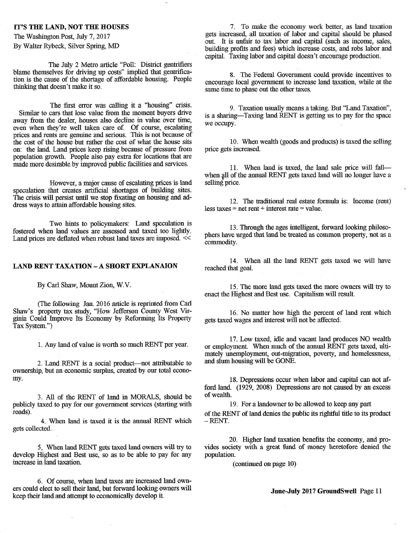The July 2 Metro article "Poll: District gentrifiers<br>blame themselves for driving up costs" implied that gentrifica-

The first error was calling it a "housing" crisis. Similar to cars that lose value from the moment buyers drive away from the dealer, houses also decline in value over time, even when they're well taken care of. Of course, escalating prices and rents are genuine and serious. This is not because of the cost of the house but rather the cost of what the house sits on: the land. Land prices keep rising because of pressure from population growth. People also pay extra for locations that are made more desirable by improved public facilities and services.

However, a major cause of escalating prices is land speculation that creates artificial shortages of building sites. The crisis will persist until we stop fixating on housing and **ad**dress ways to attain affordable housing sites.

Two hints to policymakers: Land speculation is fostered when land values are assessed and taxed too lightly.<br>
<sup>13</sup>. Through the ages intelligent, forward looking philoso-<br>
<sup>13</sup>. Through the ages intelligent, forward looking philoso-<br>
<sup>14</sup> phers have urged that land be Land prices are deflated when robust land taxes are imposed.  $<<$ 

## **LAND RENT TAXATION** - **A SHORT EXPLANAION**

By Carl Shaw, Mount Zion, W.V.

(The following Jan. 2016 article is reprinted from Carl Shaw's property tax study, "How Jefferson County West Virginia Could Improve Its Economy by Reforming Its Property Tax System.")

1.Any land of value is worth so much RENT per year.

2. Land RENT is a social product—not attributable to ownership, but an economic surplus, created by our total economy.

3. All of the RENT of land **in** MORALS, should be publicly taxed to pay for our government services (starting with roads).

4. When land is taxed it is the annual RENT which gets collected.

5, When land RENT gets taxed land owners will try to develop Highest and Best use, so as to be able to pay for any increase in land taxation.

6. Of course, when land taxes are increased land owners could elect to sell their land, but forward looking owners will keep their land and attempt to economically develop it

**IT'S THE LAND, NOT THE HOUSES 7.** To make the economy work better, as land taxation The Washington Post, July 7, 2017 gets increased, all taxation of labor and capital should be phased out. It is unfair to tax labor and capital (such as income, sales, By Walter Rybeck, Silver Spring, MD building profits and fees) which increase costs, and robs labor and building profits and fees) which increase costs, and robs labor and capital. Taxing labor and capital doesn't encourage production.

blame themselves for driving up costs implied that genirinca-<br>tion is the cause of the shortage of affordable housing. People<br>thinking that doesn't make it so.<br>same time to phase out the other taxes.

9. Taxation usually means a taking. But "Land Taxation", is a sharing—Taxing land RENT is getting us to pay for the space we occupy.

10. When wealth (goods and products) is taxed the selling price gets increased.

11. When land is taxed, the land sale price will fall when all of the annual RENT gets taxed land will no longer have a selling price.

12. The traditional real estate formula is: Income (rent) less taxes = net rent  $\div$  interest rate = value.

commodity.

14. When all the land RENT gets taxed we will have reached that goal.

15.The more land gets taxed the more owners will try to enact the Highest and Best use. Capitalism will result.

16.No matter how high the percent of land rent which gets taxed wages and interest will not be affected.

17.Low taxed, idle and vacant land produces NO wealth or employment. When much of the annual RENT gets taxed, ultimately unemployment, out-migration, poverty, and homelessness, and slum housing will be GONE.

18.Depressions occur when labor and capital can not afford land. (1929, 2008) Depressions are not caused by an excess of wealth.

19. For a landowner to be allowed to keep any part of the RENT of land denies the public its rightful title to its product - RENT.

20. Higher land taxation benefits the economy, and provides society with a great fund of money heretofore denied the population.

(continued on page 10)

**June-July 2017 GroundSwell Page 11**